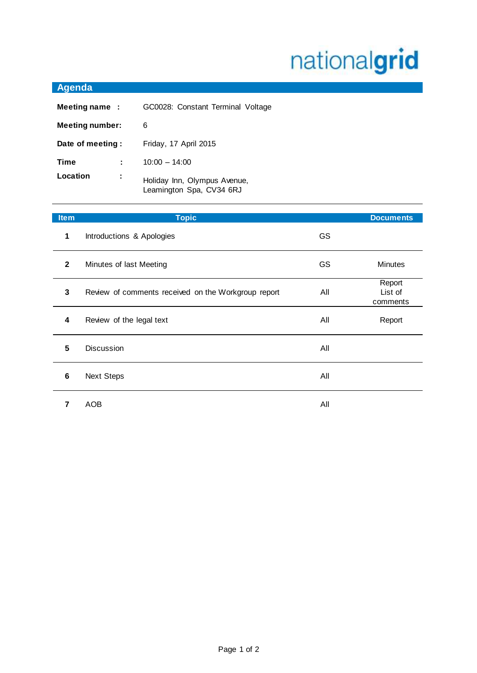## nationalgrid

| Agenda                 |                                                          |  |
|------------------------|----------------------------------------------------------|--|
| Meeting name:          | GC0028: Constant Terminal Voltage                        |  |
| <b>Meeting number:</b> | 6                                                        |  |
| Date of meeting:       | Friday, 17 April 2015                                    |  |
| Time                   | $10:00 - 14:00$                                          |  |
| Location<br>÷          | Holiday Inn, Olympus Avenue,<br>Leamington Spa, CV34 6RJ |  |

| <b>Item</b>    | <b>Topic</b>                                        |           | <b>Documents</b>              |
|----------------|-----------------------------------------------------|-----------|-------------------------------|
| 1              | Introductions & Apologies                           | <b>GS</b> |                               |
| $\overline{2}$ | Minutes of last Meeting                             | <b>GS</b> | <b>Minutes</b>                |
| 3              | Review of comments received on the Workgroup report | All       | Report<br>List of<br>comments |
| 4              | Review of the legal text                            | All       | Report                        |
| 5              | <b>Discussion</b>                                   | All       |                               |
| 6              | <b>Next Steps</b>                                   | All       |                               |
| 7              | <b>AOB</b>                                          | All       |                               |